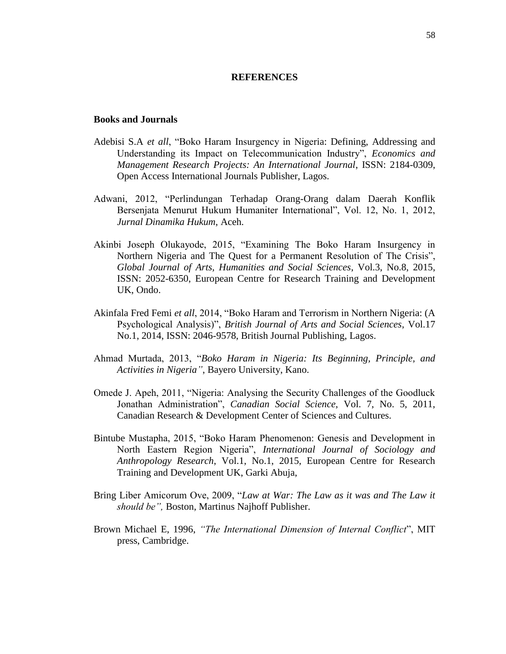## **REFERENCES**

## **Books and Journals**

- Adebisi S.A *et all*, "Boko Haram Insurgency in Nigeria: Defining, Addressing and Understanding its Impact on Telecommunication Industry", *Economics and Management Research Projects: An International Journal*, ISSN: 2184-0309, Open Access International Journals Publisher, Lagos.
- Adwani, 2012, "Perlindungan Terhadap Orang-Orang dalam Daerah Konflik Bersenjata Menurut Hukum Humaniter International", Vol. 12, No. 1, 2012, *Jurnal Dinamika Hukum*, Aceh.
- Akinbi Joseph Olukayode, 2015, "Examining The Boko Haram Insurgency in Northern Nigeria and The Quest for a Permanent Resolution of The Crisis", *Global Journal of Arts, Humanities and Social Sciences*, Vol.3, No.8, 2015, ISSN: 2052-6350, European Centre for Research Training and Development UK, Ondo.
- Akinfala Fred Femi *et all*, 2014, "Boko Haram and Terrorism in Northern Nigeria: (A Psychological Analysis)", *British Journal of Arts and Social Sciences*, Vol.17 No.1, 2014, ISSN: 2046-9578, British Journal Publishing, Lagos.
- Ahmad Murtada, 2013, "*Boko Haram in Nigeria: Its Beginning, Principle, and Activities in Nigeria"*, Bayero University, Kano.
- Omede J. Apeh, 2011, "Nigeria: Analysing the Security Challenges of the Goodluck Jonathan Administration", *Canadian Social Science*, Vol. 7, No. 5, 2011, Canadian Research & Development Center of Sciences and Cultures.
- Bintube Mustapha, 2015, "Boko Haram Phenomenon: Genesis and Development in North Eastern Region Nigeria", *International Journal of Sociology and Anthropology Research*, Vol.1, No.1, 2015, European Centre for Research Training and Development UK, Garki Abuja,
- Bring Liber Amicorum Ove, 2009, "*Law at War: The Law as it was and The Law it should be",* Boston, Martinus Najhoff Publisher.
- Brown Michael E, 1996, *"The International Dimension of Internal Conflict*", MIT press, Cambridge.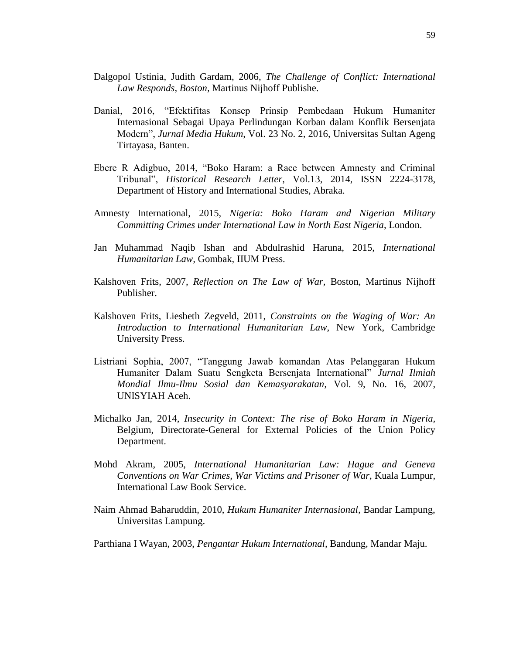- Dalgopol Ustinia, Judith Gardam, 2006, *The Challenge of Conflict: International Law Responds, Boston,* Martinus Nijhoff Publishe.
- Danial, 2016, "Efektifitas Konsep Prinsip Pembedaan Hukum Humaniter Internasional Sebagai Upaya Perlindungan Korban dalam Konflik Bersenjata Modern", *Jurnal Media Hukum*, Vol. 23 No. 2, 2016, Universitas Sultan Ageng Tirtayasa, Banten.
- Ebere R Adigbuo, 2014, "Boko Haram: a Race between Amnesty and Criminal Tribunal", *Historical Research Letter*, Vol.13, 2014, ISSN 2224-3178, Department of History and International Studies, Abraka.
- Amnesty International, 2015, *Nigeria: Boko Haram and Nigerian Military Committing Crimes under International Law in North East Nigeria*, London.
- Jan Muhammad Naqib Ishan and Abdulrashid Haruna, 2015, *International Humanitarian Law,* Gombak, IIUM Press.
- Kalshoven Frits, 2007, *Reflection on The Law of War,* Boston, Martinus Nijhoff Publisher.
- Kalshoven Frits, Liesbeth Zegveld, 2011, *Constraints on the Waging of War: An Introduction to International Humanitarian Law*, New York, Cambridge University Press.
- Listriani Sophia, 2007, "Tanggung Jawab komandan Atas Pelanggaran Hukum Humaniter Dalam Suatu Sengketa Bersenjata International" *Jurnal Ilmiah Mondial Ilmu-Ilmu Sosial dan Kemasyarakatan,* Vol. 9, No. 16, 2007, UNISYIAH Aceh.
- Michalko Jan, 2014, *Insecurity in Context: The rise of Boko Haram in Nigeria,*  Belgium, Directorate-General for External Policies of the Union Policy Department.
- Mohd Akram, 2005, *International Humanitarian Law: Hague and Geneva Conventions on War Crimes, War Victims and Prisoner of War*, Kuala Lumpur, International Law Book Service.
- Naim Ahmad Baharuddin, 2010, *Hukum Humaniter Internasional,* Bandar Lampung, Universitas Lampung.
- Parthiana I Wayan, 2003, *Pengantar Hukum International,* Bandung, Mandar Maju.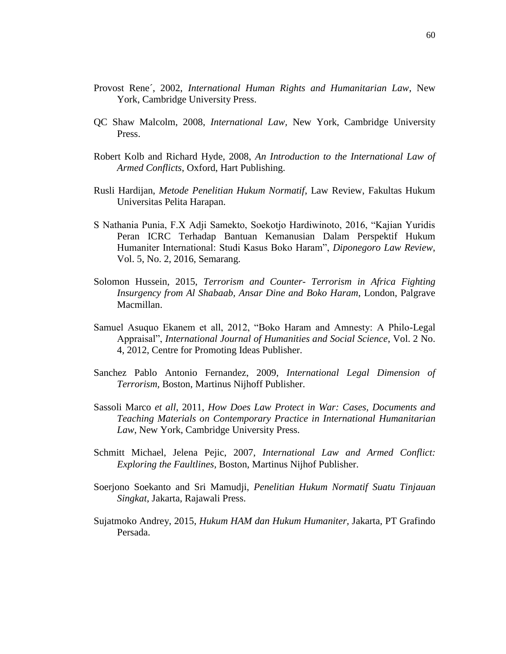- Provost Rene´, 2002, *International Human Rights and Humanitarian Law*, New York, Cambridge University Press.
- QC Shaw Malcolm, 2008, *International Law,* New York, Cambridge University Press.
- Robert Kolb and Richard Hyde, 2008, *An Introduction to the International Law of Armed Conflicts*, Oxford, Hart Publishing.
- Rusli Hardijan, *Metode Penelitian Hukum Normatif*, Law Review, Fakultas Hukum Universitas Pelita Harapan.
- S Nathania Punia, F.X Adji Samekto, Soekotjo Hardiwinoto, 2016, "Kajian Yuridis Peran ICRC Terhadap Bantuan Kemanusian Dalam Perspektif Hukum Humaniter International: Studi Kasus Boko Haram", *Diponegoro Law Review*, Vol. 5, No. 2, 2016, Semarang.
- Solomon Hussein, 2015, *Terrorism and Counter- Terrorism in Africa Fighting Insurgency from Al Shabaab, Ansar Dine and Boko Haram*, London, Palgrave Macmillan.
- Samuel Asuquo Ekanem et all, 2012, "Boko Haram and Amnesty: A Philo-Legal Appraisal", *International Journal of Humanities and Social Science*, Vol. 2 No. 4, 2012, Centre for Promoting Ideas Publisher.
- Sanchez Pablo Antonio Fernandez, 2009, *International Legal Dimension of Terrorism,* Boston, Martinus Nijhoff Publisher.
- Sassoli Marco *et all*, 2011, *How Does Law Protect in War: Cases, Documents and Teaching Materials on Contemporary Practice in International Humanitarian Law*, New York, Cambridge University Press.
- Schmitt Michael, Jelena Pejic, 2007, *International Law and Armed Conflict: Exploring the Faultlines,* Boston, Martinus Nijhof Publisher.
- Soerjono Soekanto and Sri Mamudji, *Penelitian Hukum Normatif Suatu Tinjauan Singkat*, Jakarta, Rajawali Press.
- Sujatmoko Andrey, 2015, *Hukum HAM dan Hukum Humaniter,* Jakarta, PT Grafindo Persada.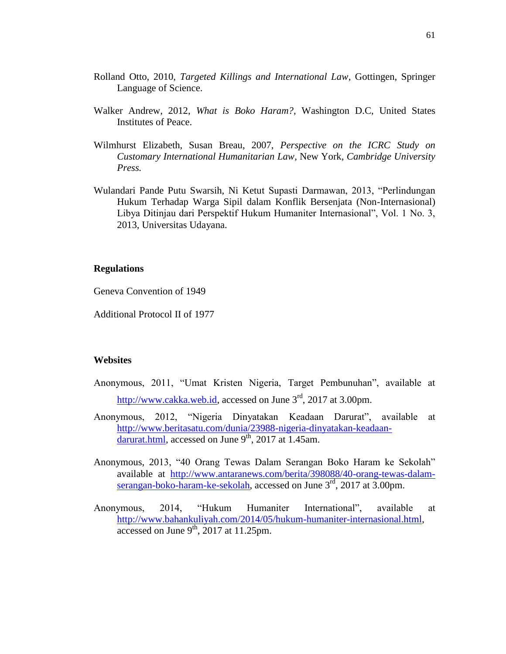- Rolland Otto, 2010, *Targeted Killings and International Law,* Gottingen, Springer Language of Science.
- Walker Andrew, 2012, *What is Boko Haram?*, Washington D.C, United States Institutes of Peace.
- Wilmhurst Elizabeth, Susan Breau, 2007, *Perspective on the ICRC Study on Customary International Humanitarian Law,* New York*, Cambridge University Press.*
- Wulandari Pande Putu Swarsih, Ni Ketut Supasti Darmawan, 2013, "Perlindungan Hukum Terhadap Warga Sipil dalam Konflik Bersenjata (Non-Internasional) Libya Ditinjau dari Perspektif Hukum Humaniter Internasional", Vol. 1 No. 3, 2013, Universitas Udayana.

## **Regulations**

Geneva Convention of 1949

Additional Protocol II of 1977

## **Websites**

- Anonymous, 2011, "Umat Kristen Nigeria, Target Pembunuhan", available at [http://www.cakka.web.id,](http://www.cakka.web.id/) accessed on June 3<sup>rd</sup>, 2017 at 3.00pm.
- Anonymous, 2012, "Nigeria Dinyatakan Keadaan Darurat", available at [http://www.beritasatu.com/dunia/23988-nigeria-dinyatakan-keadaan](http://www.beritasatu.com/dunia/23988-nigeria-dinyatakan-keadaan-darurat.html)[darurat.html,](http://www.beritasatu.com/dunia/23988-nigeria-dinyatakan-keadaan-darurat.html) accessed on June  $9<sup>th</sup>$ , 2017 at 1.45am.
- Anonymous, 2013, "40 Orang Tewas Dalam Serangan Boko Haram ke Sekolah" available at [http://www.antaranews.com/berita/398088/40-orang-tewas-dalam](http://www.antaranews.com/berita/398088/40-orang-tewas-dalam-serangan-boko-haram-ke-sekolah)[serangan-boko-haram-ke-sekolah,](http://www.antaranews.com/berita/398088/40-orang-tewas-dalam-serangan-boko-haram-ke-sekolah) accessed on June 3<sup>rd</sup>, 2017 at 3.00pm.
- Anonymous, 2014, "Hukum Humaniter International", available at [http://www.bahankuliyah.com/2014/05/hukum-humaniter-internasional.html,](http://www.bahankuliyah.com/2014/05/hukum-humaniter-internasional.html) accessed on June  $9<sup>th</sup>$ , 2017 at 11.25pm.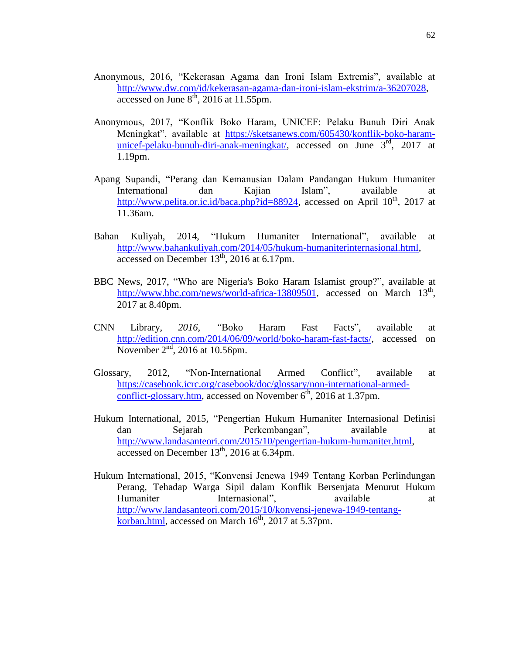- Anonymous, 2016, "Kekerasan Agama dan Ironi Islam Extremis", available at [http://www.dw.com/id/kekerasan-agama-dan-ironi-islam-ekstrim/a-36207028,](http://www.dw.com/id/kekerasan-agama-dan-ironi-islam-ekstrim/a-36207028) accessed on June  $8<sup>th</sup>$ , 2016 at 11.55pm.
- Anonymous, 2017, "Konflik Boko Haram, UNICEF: Pelaku Bunuh Diri Anak Meningkat", available at [https://sketsanews.com/605430/konflik-boko-haram](https://sketsanews.com/605430/konflik-boko-haram-unicef-pelaku-bunuh-diri-anak-meningkat/)[unicef-pelaku-bunuh-diri-anak-meningkat/,](https://sketsanews.com/605430/konflik-boko-haram-unicef-pelaku-bunuh-diri-anak-meningkat/) accessed on June 3<sup>rd</sup>, 2017 at 1.19pm.
- Apang Supandi, "Perang dan Kemanusian Dalam Pandangan Hukum Humaniter International dan Kajian Islam", available at [http://www.pelita.or.ic.id/baca.php?id=88924,](http://www.pelita.or.ic.id/baca.php?id=88924) accessed on April  $10^{th}$ , 2017 at 11.36am.
- Bahan Kuliyah, 2014, "Hukum Humaniter International", available at [http://www.bahankuliyah.com/2014/05/hukum-humaniterinternasional.html,](http://www.bahankuliyah.com/2014/05/hukum-humaniterinternasional.html) accessed on December  $13<sup>th</sup>$ , 2016 at 6.17pm.
- BBC News, 2017, "Who are Nigeria's Boko Haram Islamist group?", available at [http://www.bbc.com/news/world-africa-13809501,](http://www.bbc.com/news/world-africa-13809501) accessed on March 13<sup>th</sup>, 2017 at 8.40pm.
- CNN Library*, 2016, "*Boko Haram Fast Facts"*,* available at <http://edition.cnn.com/2014/06/09/world/boko-haram-fast-facts/>*,* accessed on November  $2<sup>nd</sup>$ , 2016 at 10.56pm.
- Glossary, 2012, "Non-International Armed Conflict", available at [https://casebook.icrc.org/casebook/doc/glossary/non-international-armed](https://casebook.icrc.org/casebook/doc/glossary/non-international-armed-conflict-glossary.htm)[conflict-glossary.htm,](https://casebook.icrc.org/casebook/doc/glossary/non-international-armed-conflict-glossary.htm) accessed on November  $6<sup>th</sup>$ , 2016 at 1.37pm.
- Hukum International, 2015, "Pengertian Hukum Humaniter Internasional Definisi dan Sejarah Perkembangan", available at [http://www.landasanteori.com/2015/10/pengertian-hukum-humaniter.html,](http://www.landasanteori.com/2015/10/pengertian-hukum-humaniter.html) accessed on December  $13<sup>th</sup>$ , 2016 at 6.34pm.
- Hukum International, 2015, "Konvensi Jenewa 1949 Tentang Korban Perlindungan Perang, Tehadap Warga Sipil dalam Konflik Bersenjata Menurut Hukum Humaniter Internasional", available at at [http://www.landasanteori.com/2015/10/konvensi-jenewa-1949-tentang](http://www.landasanteori.com/2015/10/konvensi-jenewa-1949-tentang-korban.html)[korban.html,](http://www.landasanteori.com/2015/10/konvensi-jenewa-1949-tentang-korban.html) accessed on March  $16^{th}$ , 2017 at 5.37pm.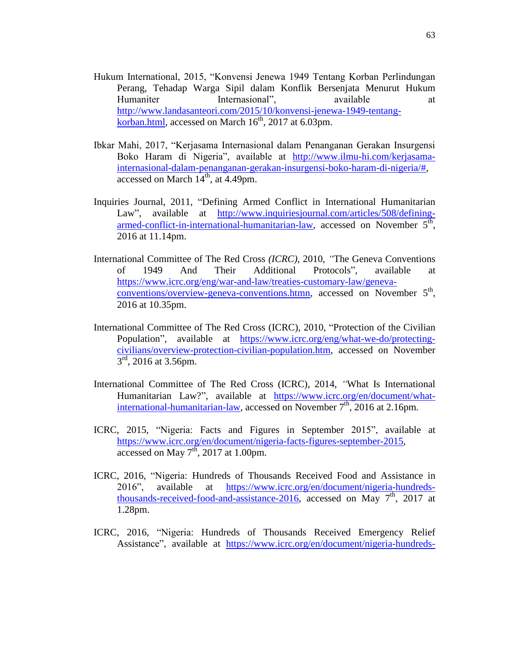- Hukum International, 2015, "Konvensi Jenewa 1949 Tentang Korban Perlindungan Perang, Tehadap Warga Sipil dalam Konflik Bersenjata Menurut Hukum Humaniter Internasional", available at a [http://www.landasanteori.com/2015/10/konvensi-jenewa-1949-tentang](http://www.landasanteori.com/2015/10/konvensi-jenewa-1949-tentang-korban.html)[korban.html,](http://www.landasanteori.com/2015/10/konvensi-jenewa-1949-tentang-korban.html) accessed on March  $16^{th}$ , 2017 at 6.03pm.
- Ibkar Mahi, 2017, "Kerjasama Internasional dalam Penanganan Gerakan Insurgensi Boko Haram di Nigeria", available at [http://www.ilmu-hi.com/kerjasama](http://www.ilmu-hi.com/kerjasama-internasional-dalam-penanganan-gerakan-insurgensi-boko-haram-di-nigeria/)[internasional-dalam-penanganan-gerakan-insurgensi-boko-haram-di-nigeria/#,](http://www.ilmu-hi.com/kerjasama-internasional-dalam-penanganan-gerakan-insurgensi-boko-haram-di-nigeria/) accessed on March  $14<sup>th</sup>$ , at 4.49pm.
- Inquiries Journal, 2011, "Defining Armed Conflict in International Humanitarian Law", available at [http://www.inquiriesjournal.com/articles/508/defining](http://www.inquiriesjournal.com/articles/508/defining-armed-conflict-in-international-humanitarian-law)[armed-conflict-in-international-humanitarian-law,](http://www.inquiriesjournal.com/articles/508/defining-armed-conflict-in-international-humanitarian-law) accessed on November  $5^{\overline{th}}$ , 2016 at 11.14pm.
- International Committee of The Red Cross *(ICRC),* 2010*, "*The Geneva Conventions of 1949 And Their Additional Protocols"*,* available at [https://www.icrc.org/eng/war-and-law/treaties-customary-law/geneva](https://www.icrc.org/eng/war-and-law/treaties-customary-law/geneva-conventions/overview-geneva-conventions.htmn)[conventions/overview-geneva-conventions.htmn](https://www.icrc.org/eng/war-and-law/treaties-customary-law/geneva-conventions/overview-geneva-conventions.htmn), accessed on November 5<sup>th</sup>, 2016 at 10.35pm.
- International Committee of The Red Cross (ICRC), 2010, "Protection of the Civilian Population", available at [https://www.icrc.org/eng/what-we-do/protecting](https://www.icrc.org/eng/what-we-do/protecting-civilians/overview-protection-civilian-population.htm)[civilians/overview-protection-civilian-population.htm,](https://www.icrc.org/eng/what-we-do/protecting-civilians/overview-protection-civilian-population.htm) accessed on November  $3<sup>rd</sup>$ , 2016 at 3.56pm.
- International Committee of The Red Cross (ICRC), 2014, *"*What Is International Humanitarian Law?", available at [https://www.icrc.org/en/document/what](https://www.icrc.org/en/document/what-international-humanitarian-law)[international-humanitarian-law,](https://www.icrc.org/en/document/what-international-humanitarian-law) accessed on November  $7<sup>th</sup>$ , 2016 at 2.16pm.
- ICRC, 2015, "Nigeria: Facts and Figures in September 2015", available at [https://www.icrc.org/en/document/nigeria-facts-figures-september-2015,](https://www.icrc.org/en/document/nigeria-facts-figures-september-2015) accessed on May  $7^{th}$ , 2017 at 1.00pm.
- ICRC, 2016, "Nigeria: Hundreds of Thousands Received Food and Assistance in 2016", available at [https://www.icrc.org/en/document/nigeria-hundreds](https://www.icrc.org/en/document/nigeria-hundreds-thousands-received-food-and-assistance-2016)[thousands-received-food-and-assistance-2016,](https://www.icrc.org/en/document/nigeria-hundreds-thousands-received-food-and-assistance-2016) accessed on May  $7<sup>th</sup>$ , 2017 at 1.28pm.
- ICRC, 2016, "Nigeria: Hundreds of Thousands Received Emergency Relief Assistance", available at [https://www.icrc.org/en/document/nigeria-hundreds-](https://www.icrc.org/en/document/nigeria-hundreds-thousands-received-emergency-relief-assistance)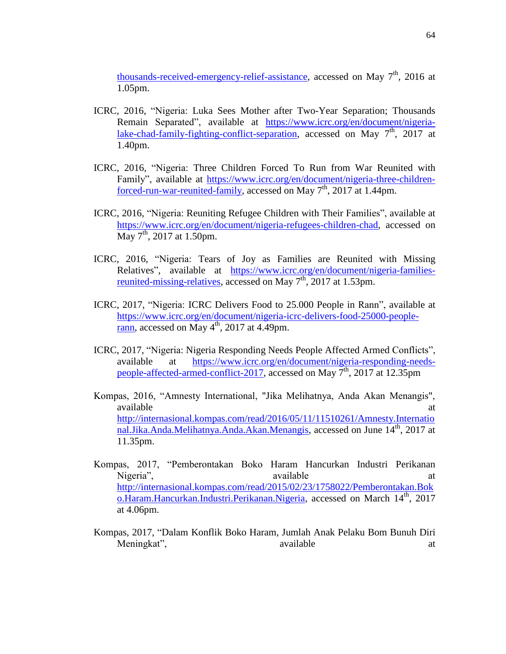[thousands-received-emergency-relief-assistance,](https://www.icrc.org/en/document/nigeria-hundreds-thousands-received-emergency-relief-assistance) accessed on May 7<sup>th</sup>, 2016 at 1.05pm.

- ICRC, 2016, "Nigeria: Luka Sees Mother after Two-Year Separation; Thousands Remain Separated", available at [https://www.icrc.org/en/document/nigeria](https://www.icrc.org/en/document/nigeria-lake-chad-family-fighting-conflict-separation)[lake-chad-family-fighting-conflict-separation,](https://www.icrc.org/en/document/nigeria-lake-chad-family-fighting-conflict-separation) accessed on May  $7<sup>th</sup>$ , 2017 at 1.40pm.
- ICRC, 2016, "Nigeria: Three Children Forced To Run from War Reunited with Family", available at [https://www.icrc.org/en/document/nigeria-three-children](https://www.icrc.org/en/document/nigeria-three-children-forced-run-war-reunited-family)[forced-run-war-reunited-family,](https://www.icrc.org/en/document/nigeria-three-children-forced-run-war-reunited-family) accessed on May 7<sup>th</sup>, 2017 at 1.44pm.
- ICRC, 2016, "Nigeria: Reuniting Refugee Children with Their Families", available at [https://www.icrc.org/en/document/nigeria-refugees-children-chad,](https://www.icrc.org/en/document/nigeria-refugees-children-chad) accessed on  $\overline{\text{May 7}}^{\text{th}}$ , 2017 at 1.50pm.
- ICRC, 2016, "Nigeria: Tears of Joy as Families are Reunited with Missing Relatives", available at [https://www.icrc.org/en/document/nigeria-families](https://www.icrc.org/en/document/nigeria-families-reunited-missing-relatives)[reunited-missing-relatives,](https://www.icrc.org/en/document/nigeria-families-reunited-missing-relatives) accessed on May  $7<sup>th</sup>$ , 2017 at 1.53pm.
- ICRC, 2017, "Nigeria: ICRC Delivers Food to 25.000 People in Rann", available at [https://www.icrc.org/en/document/nigeria-icrc-delivers-food-25000-people-](https://www.icrc.org/en/document/nigeria-icrc-delivers-food-25000-people-rann) $\frac{\text{rann}}{\text{rann}}$ , accessed on May  $4^{\text{th}}$ , 2017 at 4.49pm.
- ICRC, 2017, "Nigeria: Nigeria Responding Needs People Affected Armed Conflicts", available at [https://www.icrc.org/en/document/nigeria-responding-needs](https://www.icrc.org/en/document/nigeria-responding-needs-people-affected-armed-conflict-2017)[people-affected-armed-conflict-2017,](https://www.icrc.org/en/document/nigeria-responding-needs-people-affected-armed-conflict-2017) accessed on May 7<sup>th</sup>, 2017 at 12.35pm
- Kompas, 2016, "Amnesty International, "Jika Melihatnya, Anda Akan Menangis", available at a state of  $\alpha$  at a state of  $\alpha$  at a state of  $\alpha$  at a state of  $\alpha$  at a state of  $\alpha$  at a state of  $\alpha$  at a state of  $\alpha$  at a state of  $\alpha$  at a state of  $\alpha$  at a state of  $\alpha$  at a state of  $\alpha$  at [http://internasional.kompas.com/read/2016/05/11/11510261/Amnesty.Internatio](http://internasional.kompas.com/read/2016/05/11/11510261/Amnesty.International.Jika.Anda.Melihatnya.Anda.Akan.Menangis) [nal.Jika.Anda.Melihatnya.Anda.Akan.Menangis,](http://internasional.kompas.com/read/2016/05/11/11510261/Amnesty.International.Jika.Anda.Melihatnya.Anda.Akan.Menangis) accessed on June 14<sup>th</sup>, 2017 at 11.35pm.
- Kompas, 2017, "Pemberontakan Boko Haram Hancurkan Industri Perikanan Nigeria", available at a variable at a control of the same at a control of the same at a control of the same at a control of the same at a control of the same at a control of the same at a control of the same at a control [http://internasional.kompas.com/read/2015/02/23/1758022/Pemberontakan.Bok](http://internasional.kompas.com/read/2015/02/23/1758022/Pemberontakan.Boko.Haram.Hancurkan.Industri.Perikanan.Nigeria) [o.Haram.Hancurkan.Industri.Perikanan.Nigeria,](http://internasional.kompas.com/read/2015/02/23/1758022/Pemberontakan.Boko.Haram.Hancurkan.Industri.Perikanan.Nigeria) accessed on March 14<sup>th</sup>, 2017 at 4.06pm.
- Kompas, 2017, "Dalam Konflik Boko Haram, Jumlah Anak Pelaku Bom Bunuh Diri Meningkat", available at a variable at the same at a variable at a set of  $\alpha$  and  $\alpha$  and  $\alpha$  are at a set of  $\alpha$  and  $\alpha$  and  $\alpha$  are a set of  $\alpha$  and  $\alpha$  are a set of  $\alpha$  and  $\alpha$  and  $\alpha$  are a set of  $\alpha$  and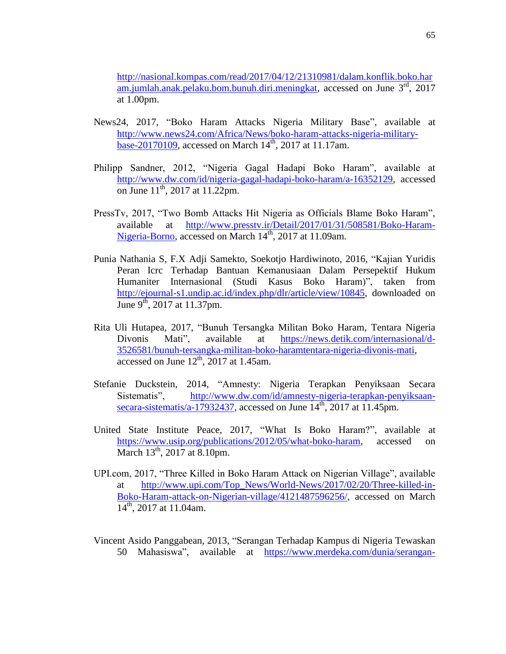[http://nasional.kompas.com/read/2017/04/12/21310981/dalam.konflik.boko.har](http://nasional.kompas.com/read/2017/04/12/21310981/dalam.konflik.boko.haram.jumlah.anak.pelaku.bom.bunuh.diri.meningkat) [am.jumlah.anak.pelaku.bom.bunuh.diri.meningkat,](http://nasional.kompas.com/read/2017/04/12/21310981/dalam.konflik.boko.haram.jumlah.anak.pelaku.bom.bunuh.diri.meningkat) accessed on June 3<sup>rd</sup>, 2017 at 1.00pm.

- News24, 2017, "Boko Haram Attacks Nigeria Military Base", available at [http://www.news24.com/Africa/News/boko-haram-attacks-nigeria-military-](http://www.news24.com/Africa/News/boko-haram-attacks-nigeria-military-base-20170109) $\frac{\text{base}-20170109}{\text{base}-20170109}$ , accessed on March 14<sup>th</sup>, 2017 at 11.17am.
- Philipp Sandner, 2012, "Nigeria Gagal Hadapi Boko Haram", available at [http://www.dw.com/id/nigeria-gagal-hadapi-boko-haram/a-16352129,](http://www.dw.com/id/nigeria-gagal-hadapi-boko-haram/a-16352129) accessed on June  $11^{th}$ , 2017 at 11.22pm.
- PressTv, 2017, "Two Bomb Attacks Hit Nigeria as Officials Blame Boko Haram", available at [http://www.presstv.ir/Detail/2017/01/31/508581/Boko-Haram-](http://www.presstv.ir/Detail/2017/01/31/508581/Boko-Haram-Nigeria-Borno)[Nigeria-Borno,](http://www.presstv.ir/Detail/2017/01/31/508581/Boko-Haram-Nigeria-Borno) accessed on March 14<sup>th</sup>, 2017 at 11.09am.
- Punia Nathania S, F.X Adji Samekto, Soekotjo Hardiwinoto, 2016, "Kajian Yuridis Peran Icrc Terhadap Bantuan Kemanusiaan Dalam Persepektif Hukum Humaniter Internasional (Studi Kasus Boko Haram)", taken from [http://ejournal-s1.undip.ac.id/index.php/dlr/article/view/10845,](http://ejournal-s1.undip.ac.id/index.php/dlr/article/view/10845) downloaded on June 9<sup>th</sup>, 2017 at 11.37pm.
- Rita Uli Hutapea, 2017, "Bunuh Tersangka Militan Boko Haram, Tentara Nigeria Divonis Mati", available at [https://news.detik.com/internasional/d-](https://news.detik.com/internasional/d-3526581/bunuh-tersangka-militan-boko-haramtentara-nigeria-divonis-mati)[3526581/bunuh-tersangka-militan-boko-haramtentara-nigeria-divonis-mati,](https://news.detik.com/internasional/d-3526581/bunuh-tersangka-militan-boko-haramtentara-nigeria-divonis-mati) accessed on June  $12<sup>th</sup>$ , 2017 at 1.45am.
- Stefanie Duckstein, 2014, "Amnesty: Nigeria Terapkan Penyiksaan Secara Sistematis", [http://www.dw.com/id/amnesty-nigeria-terapkan-penyiksaan](http://www.dw.com/id/amnesty-nigeria-terapkan-penyiksaan-secara-sistematis/a-17932437)[secara-sistematis/a-17932437,](http://www.dw.com/id/amnesty-nigeria-terapkan-penyiksaan-secara-sistematis/a-17932437) accessed on June 14<sup>th</sup>, 2017 at 11.45pm.
- United State Institute Peace, 2017, "What Is Boko Haram?", available at <https://www.usip.org/publications/2012/05/what-boko-haram>*,* accessed on March  $13<sup>th</sup>$ , 2017 at 8.10pm.
- UPI.com, 2017, "Three Killed in Boko Haram Attack on Nigerian Village", available at [http://www.upi.com/Top\\_News/World-News/2017/02/20/Three-killed-in-](http://www.upi.com/Top_News/World-News/2017/02/20/Three-killed-in-Boko-Haram-attack-on-Nigerian-village/4121487596256/)[Boko-Haram-attack-on-Nigerian-village/4121487596256/,](http://www.upi.com/Top_News/World-News/2017/02/20/Three-killed-in-Boko-Haram-attack-on-Nigerian-village/4121487596256/) accessed on March  $14^{th}$ , 2017 at 11.04am.
- Vincent Asido Panggabean, 2013, "Serangan Terhadap Kampus di Nigeria Tewaskan 50 Mahasiswa", available at [https://www.merdeka.com/dunia/serangan-](https://www.merdeka.com/dunia/serangan-terhadap-kampus-di-nigeria-tewaskan-50-mahasiswa.html)